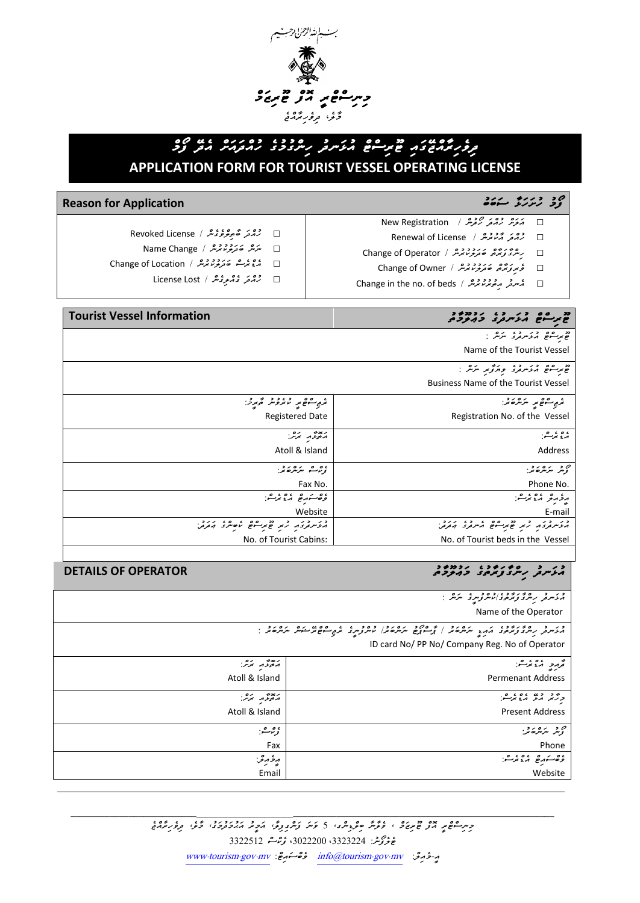

# *ދިވެހިރާއްޖޭގައި ޓޫރިސްޓް އުޅަނދު ހިންގުމުގެ ހުއްދައަށް އެދޭ ފޯމް*  **APPLICATION FORM FOR TOURIST VESSEL OPERATING LICENSE**

- □ *އަލަށް ހުއްދަ ހޯދުން /* Registration New
- □ *ހުއްދަ އާކުރުން /* License of Renewal □ *ހިންގާފަރާތް ބަދަލުކުރުން /* Operator of Change
	-
	- □ *ވެރިފަރާތް ބަދަލުކުރުން /* Owner of Change
- □ محمد محمد معرض معرض محمد معرض محمد معرض محمد معرض محمد معرض محمد معرض محمد معرض محمد العالمية Change in the no

# مح شرکت مستقل المسیح المسیح المسیح المسیح المسیح المسیح المسیح المسیح المسیح المسیح المسیح المسیح المسیح المسیح<br>المسیح المسیح المسیح المسیح المسیح المسیح المسیح المسیح المسیح المسیح المسیح المسیح المسیح المسیح المسیح الم

- □ *ހުއްދަ ބާތިލްވެގެން /* License Revoked
- □ *ނަން ބަދަލުކުރުން /* Change Name
- □ *އެޑްރެސް ބަދަލުކުރުން /* Location of Change
	- □ *ހުއްދަ ގެއްލިގެން /* Lost License

## *ޓޫރިސްޓް އުޅަނދު ގެ މަޢުލޫމާތު* **Information Vessel Tourist**

*ޓޫރިސްޓް އުޅަނދުގެ ނަން :*  Name of the Tourist Vessel

*ޓޫރިސްޓް އުޅަނދުގެ ވިޔަފާރި ނަން :*  Business Name of the Tourist Vessel

| ئرىي-شۇمر --ئىرگەنمە:-             | ترى ھەھ يە ئاتروش ئۇيرۇ:       |
|------------------------------------|--------------------------------|
| Registration No. of the Vessel     | <b>Registered Date</b>         |
| ړه نمر شيخ                         | برخوعهم تحرشه:                 |
| Address                            | Atoll & Island                 |
| من مرکزه کرد.<br>گرمز مرکزه کر     | ، <sub>و</sub> رائے مرکزہ تمر  |
| Phone No.                          | Fax No.                        |
| ړ د په د وي ده:                    | وهشروه بموعن                   |
| E-mail                             | Website                        |
| ה ליינות באת המונים ביינות היות בי | התיית באת לא מינים לסיית באבל. |
| No. of Tourist beds in the Vessel  | No. of Tourist Cabins:         |

# مُ عَرَّسُ مِسْرَّةً وَيُرْمُونَ ۖ وَيَعْرُفُونَ ۖ وَيَعْرُفُونَ ۖ وَيَعْرُفُونَ ۖ وَيَعْرُفُونَ ۖ وَيَعْرُفُونَ وَيَعْرُفُونَ ۖ وَيَعْرُفُونَ ۖ وَيَعْرُفُونَ ۖ وَيَعْرُفُونَ ۖ وَيَعْرُفُونَ ۖ وَيَعْرُفُونَ ۖ وَيَعْرُفُو

| د در در مربوع در در در دور در مربوت است.<br>مرد سرفر از سری و مرمود استر و سرفر است.                                                                    |                          |  |
|---------------------------------------------------------------------------------------------------------------------------------------------------------|--------------------------|--|
| Name of the Operator                                                                                                                                    |                          |  |
| در در ۱۶۶۶ و در دولت مرد در از ۱۶۵۶ دره در دولت و دولت میشود.<br>مرد سرد برای در دولت مرد و مرد از سورج مرد مرد سرد مرد مرد مرد میشود مرد مرد از این در |                          |  |
| ID card No/ PP No/ Company Reg. No of Operator                                                                                                          |                          |  |
| تحرمر والمقامر المنافسي                                                                                                                                 | بعديمه برو.              |  |
| <b>Permenant Address</b>                                                                                                                                | Atoll & Island           |  |
| وژد ده ده ده.                                                                                                                                           | ر پوځه بره .<br>مصر مرکز |  |
| <b>Present Address</b>                                                                                                                                  | Atoll & Island           |  |
| ەير بىرت <i>ىرغى</i> خ                                                                                                                                  | ۇرثاشىز                  |  |
| Phone                                                                                                                                                   | Fax                      |  |
| وەسىرە مەنزىسى:                                                                                                                                         | مرځ مرغې:                |  |
| Website                                                                                                                                                 | Email                    |  |

\_\_\_\_\_\_\_\_\_\_\_\_\_\_\_\_\_\_\_\_\_\_\_\_\_\_ \_\_\_\_\_\_\_\_\_\_\_\_\_\_\_\_\_\_\_\_\_\_\_\_\_\_\_\_\_\_\_\_\_\_\_\_\_\_\_\_\_\_\_\_\_\_\_\_\_\_\_\_\_\_\_\_\_\_\_\_\_\_\_\_\_\_\_\_\_\_\_\_\_\_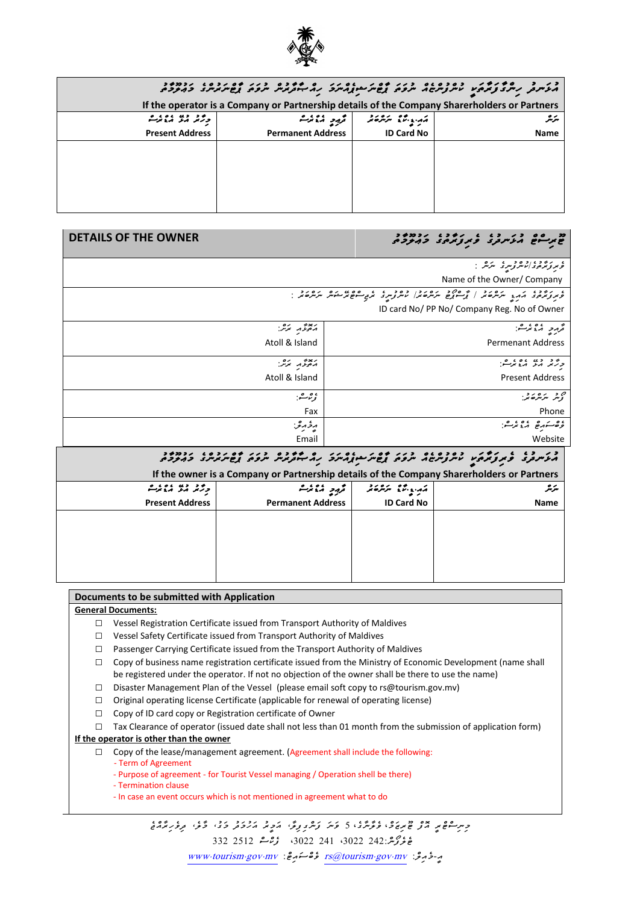

|                                                                                              | مگر سر در سر دیگر در دوده دوم دوم موسط در دوم برد بازند و دور مورد در دوم در دوم در در دوم در در دوم در در دوم<br>مگر سر در سر دیگر دیگر در سر در سر دوم از دوم در سر در سازمن سر دوم از در در در در در در در در در در در در در |                                     |             |
|----------------------------------------------------------------------------------------------|---------------------------------------------------------------------------------------------------------------------------------------------------------------------------------------------------------------------------------|-------------------------------------|-------------|
| If the operator is a Company or Partnership details of the Company Sharerholders or Partners |                                                                                                                                                                                                                                 |                                     |             |
| ڊريز پڻ پيشن                                                                                 |                                                                                                                                                                                                                                 | أمريدينا المتفاوين المتحرم والمالوط | سرتر        |
| <b>Present Address</b>                                                                       | <b>Permanent Address</b>                                                                                                                                                                                                        | ID Card No                          | <b>Name</b> |
|                                                                                              |                                                                                                                                                                                                                                 |                                     |             |
|                                                                                              |                                                                                                                                                                                                                                 |                                     |             |
|                                                                                              |                                                                                                                                                                                                                                 |                                     |             |
|                                                                                              |                                                                                                                                                                                                                                 |                                     |             |
|                                                                                              |                                                                                                                                                                                                                                 |                                     |             |

## *ޓޫރިސްޓް އުޅަނދު ގެ ވެރި ފަރާތުގެ މަޢު ލޫމާތު* **OWNER THE OF DETAILS**

| ، ئەر ئەھمەدامىتىر ئوسرى بىرىش:<br>قومېر ئونترە ئەنگەر ئوسرى بىرىش: |                |
|---------------------------------------------------------------------|----------------|
| Name of the Owner/ Company                                          |                |
|                                                                     |                |
| ID card No/ PP No/ Company Reg. No of Owner                         |                |
| قرمرچ معمر شو:                                                      | بربوع مراعر    |
| <b>Permenant Address</b>                                            | Atoll & Island |
| ورڅو دي ،وه په په                                                   | ببعد بره.      |
| <b>Present Address</b>                                              | Atoll & Island |
| مۇيىر بىرتىر <i>ى تى</i> ر:                                         | ۇرثاث.         |
| Phone                                                               | Fax            |
| ءه بره عمیت:                                                        | ەخ مەشر:       |
| Website                                                             | Email          |
| .<br>.                                                              |                |

### *އުޅަނދު ގެ ވެރި ފަރާތަ ކީ ކުންފުންޏެއް ނުވަތަ ޕާޓްނަޝިޕެއްނަމަ ހިއްޞާ ދާރުން ނުވަތަ ޕާޓްނަރުންގެ މަޢުލޫމާތު*

| If the owner is a Company or Partnership details of the Company Sharerholders or Partners |                          |                                  |       |  |
|-------------------------------------------------------------------------------------------|--------------------------|----------------------------------|-------|--|
| ڊيم ھڻ ھائيش                                                                              | المزمود فكالخرث          | الكرابي الكرام والمراكب والمحافر | ىئەتر |  |
| <b>Present Address</b>                                                                    | <b>Permanent Address</b> | <b>ID Card No</b>                | Name  |  |
|                                                                                           |                          |                                  |       |  |
|                                                                                           |                          |                                  |       |  |
|                                                                                           |                          |                                  |       |  |
|                                                                                           |                          |                                  |       |  |
|                                                                                           |                          |                                  |       |  |

#### **Documents to be submitted with Application**

**General Documents:**

- *□* Vessel Registration Certificate issued from Transport Authority of Maldives
- *□* Vessel Safety Certificate issued from Transport Authority of Maldives
- *□* Passenger Carrying Certificate issued from the Transport Authority of Maldives
- *□* Copy of business name registration certificate issued from the Ministry of Economic Development (name shall be registered under the operator. If not no objection of the owner shall be there to use the name)
- *□* Disaster Management Plan of the Vessel (please email soft copy to rs@tourism.gov.mv)
- *□* Original operating license Certificate (applicable for renewal of operating license)
- *□* Copy of ID card copy or Registration certificate of Owner
- *□* Tax Clearance of operator (issued date shall not less than 01 month from the submission of application form)

### **If the operator is other than the owner**

- *□* Copy of the lease/management agreement. (Agreement shall include the following:
	- Term of Agreement
	- Purpose of agreement for Tourist Vessel managing / Operation shell be there)
	- Termination clause
	- In case an event occurs which is not mentioned in agreement what to do